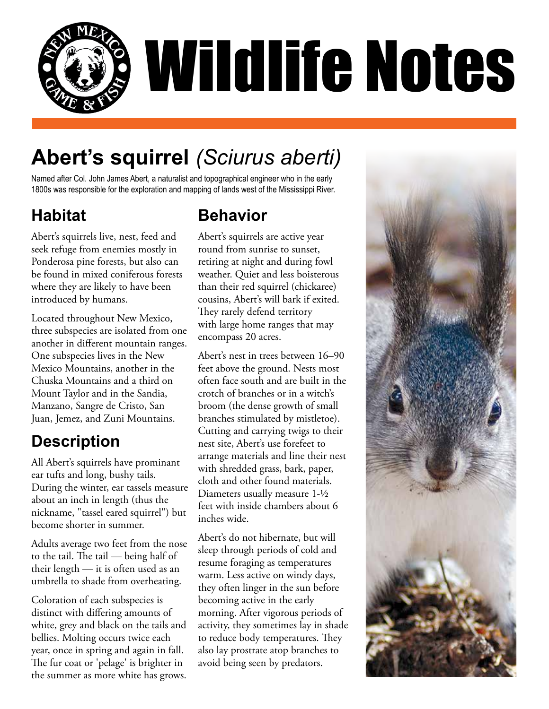

# **Abert's squirrel** *(Sciurus aberti)*

Named after Col. John James Abert, a naturalist and topographical engineer who in the early 1800s was responsible for the exploration and mapping of lands west of the Mississippi River.

#### **Habitat**

Abert's squirrels live, nest, feed and seek refuge from enemies mostly in Ponderosa pine forests, but also can be found in mixed coniferous forests where they are likely to have been introduced by humans.

Located throughout New Mexico, three subspecies are isolated from one another in different mountain ranges. One subspecies lives in the New Mexico Mountains, another in the Chuska Mountains and a third on Mount Taylor and in the Sandia, Manzano, Sangre de Cristo, San Juan, Jemez, and Zuni Mountains.

## **Description**

All Abert's squirrels have prominant ear tufts and long, bushy tails. During the winter, ear tassels measure about an inch in length (thus the nickname, "tassel eared squirrel") but become shorter in summer.

Adults average two feet from the nose to the tail. The tail — being half of their length — it is often used as an umbrella to shade from overheating.

Coloration of each subspecies is distinct with differing amounts of white, grey and black on the tails and bellies. Molting occurs twice each year, once in spring and again in fall. The fur coat or 'pelage' is brighter in the summer as more white has grows.

#### **Behavior**

Abert's squirrels are active year round from sunrise to sunset, retiring at night and during fowl weather. Quiet and less boisterous than their red squirrel (chickaree) cousins, Abert's will bark if exited. They rarely defend territory with large home ranges that may encompass 20 acres.

Abert's nest in trees between 16–90 feet above the ground. Nests most often face south and are built in the crotch of branches or in a witch's broom (the dense growth of small branches stimulated by mistletoe). Cutting and carrying twigs to their nest site, Abert's use forefeet to arrange materials and line their nest with shredded grass, bark, paper, cloth and other found materials. Diameters usually measure 1-1/2 feet with inside chambers about 6 inches wide.

Abert's do not hibernate, but will sleep through periods of cold and resume foraging as temperatures warm. Less active on windy days, they often linger in the sun before becoming active in the early morning. After vigorous periods of activity, they sometimes lay in shade to reduce body temperatures. They also lay prostrate atop branches to avoid being seen by predators.